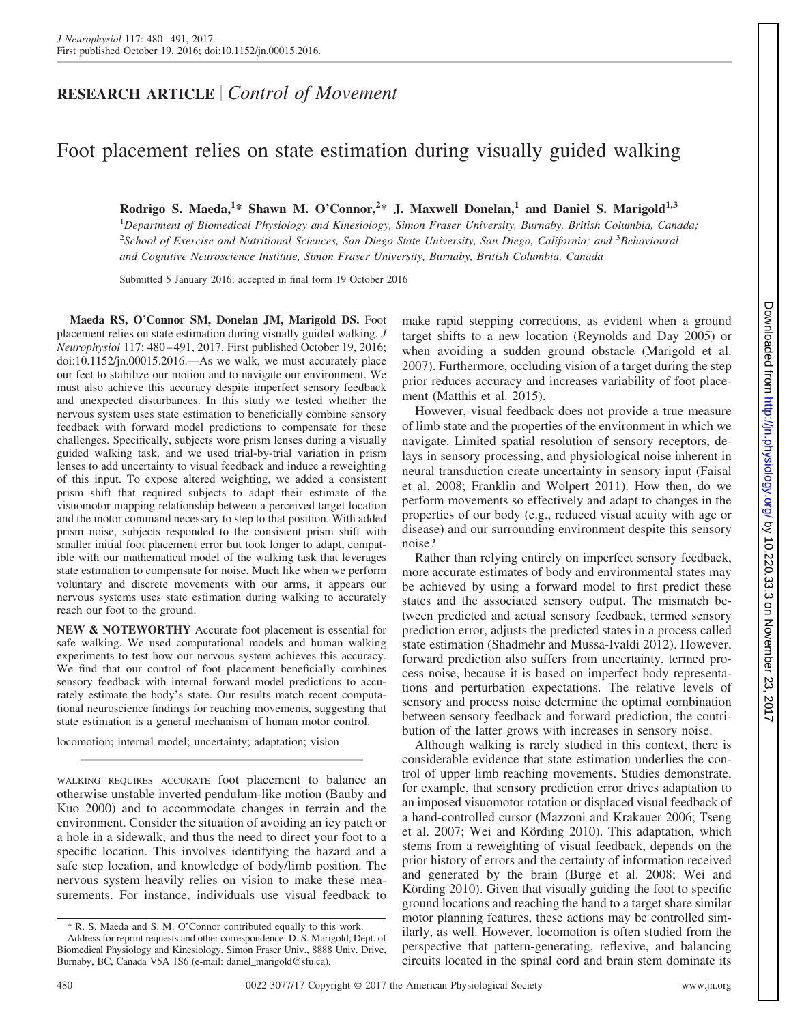# **RESEARCH ARTICLE** *Control of Movement*

# Foot placement relies on state estimation during visually guided walking

**Rodrigo S. Maeda,<sup>1</sup> \* Shawn M. O'Connor,<sup>2</sup> \* J. Maxwell Donelan,<sup>1</sup> and Daniel S. Marigold1,3**

1 *Department of Biomedical Physiology and Kinesiology, Simon Fraser University, Burnaby, British Columbia, Canada;* <sup>2</sup> School of Exercise and Nutritional Sciences, San Diego State University, San Diego, California; and <sup>3</sup> Behavioural *and Cognitive Neuroscience Institute, Simon Fraser University, Burnaby, British Columbia, Canada*

Submitted 5 January 2016; accepted in final form 19 October 2016

**Maeda RS, O'Connor SM, Donelan JM, Marigold DS.** Foot placement relies on state estimation during visually guided walking. *J Neurophysiol* 117: 480 – 491, 2017. First published October 19, 2016; doi:10.1152/jn.00015.2016.—As we walk, we must accurately place our feet to stabilize our motion and to navigate our environment. We must also achieve this accuracy despite imperfect sensory feedback and unexpected disturbances. In this study we tested whether the nervous system uses state estimation to beneficially combine sensory feedback with forward model predictions to compensate for these challenges. Specifically, subjects wore prism lenses during a visually guided walking task, and we used trial-by-trial variation in prism lenses to add uncertainty to visual feedback and induce a reweighting of this input. To expose altered weighting, we added a consistent prism shift that required subjects to adapt their estimate of the visuomotor mapping relationship between a perceived target location and the motor command necessary to step to that position. With added prism noise, subjects responded to the consistent prism shift with smaller initial foot placement error but took longer to adapt, compatible with our mathematical model of the walking task that leverages state estimation to compensate for noise. Much like when we perform voluntary and discrete movements with our arms, it appears our nervous systems uses state estimation during walking to accurately reach our foot to the ground.

**NEW & NOTEWORTHY** Accurate foot placement is essential for safe walking. We used computational models and human walking experiments to test how our nervous system achieves this accuracy. We find that our control of foot placement beneficially combines sensory feedback with internal forward model predictions to accurately estimate the body's state. Our results match recent computational neuroscience findings for reaching movements, suggesting that state estimation is a general mechanism of human motor control.

locomotion; internal model; uncertainty; adaptation; vision

WALKING REQUIRES ACCURATE foot placement to balance an otherwise unstable inverted pendulum-like motion (Bauby and Kuo 2000) and to accommodate changes in terrain and the environment. Consider the situation of avoiding an icy patch or a hole in a sidewalk, and thus the need to direct your foot to a specific location. This involves identifying the hazard and a safe step location, and knowledge of body/limb position. The nervous system heavily relies on vision to make these measurements. For instance, individuals use visual feedback to

make rapid stepping corrections, as evident when a ground target shifts to a new location (Reynolds and Day 2005) or when avoiding a sudden ground obstacle (Marigold et al. 2007). Furthermore, occluding vision of a target during the step prior reduces accuracy and increases variability of foot placement (Matthis et al. 2015).

However, visual feedback does not provide a true measure of limb state and the properties of the environment in which we navigate. Limited spatial resolution of sensory receptors, delays in sensory processing, and physiological noise inherent in neural transduction create uncertainty in sensory input (Faisal et al. 2008; Franklin and Wolpert 2011). How then, do we perform movements so effectively and adapt to changes in the properties of our body (e.g., reduced visual acuity with age or disease) and our surrounding environment despite this sensory noise?

Rather than relying entirely on imperfect sensory feedback, more accurate estimates of body and environmental states may be achieved by using a forward model to first predict these states and the associated sensory output. The mismatch between predicted and actual sensory feedback, termed sensory prediction error, adjusts the predicted states in a process called state estimation (Shadmehr and Mussa-Ivaldi 2012). However, forward prediction also suffers from uncertainty, termed process noise, because it is based on imperfect body representations and perturbation expectations. The relative levels of sensory and process noise determine the optimal combination between sensory feedback and forward prediction; the contribution of the latter grows with increases in sensory noise.

Although walking is rarely studied in this context, there is considerable evidence that state estimation underlies the control of upper limb reaching movements. Studies demonstrate, for example, that sensory prediction error drives adaptation to an imposed visuomotor rotation or displaced visual feedback of a hand-controlled cursor (Mazzoni and Krakauer 2006; Tseng et al. 2007; Wei and Körding 2010). This adaptation, which stems from a reweighting of visual feedback, depends on the prior history of errors and the certainty of information received and generated by the brain (Burge et al. 2008; Wei and Körding 2010). Given that visually guiding the foot to specific ground locations and reaching the hand to a target share similar motor planning features, these actions may be controlled similarly, as well. However, locomotion is often studied from the perspective that pattern-generating, reflexive, and balancing circuits located in the spinal cord and brain stem dominate its

<sup>\*</sup> R. S. Maeda and S. M. O'Connor contributed equally to this work. Address for reprint requests and other correspondence: D. S. Marigold, Dept. of Biomedical Physiology and Kinesiology, Simon Fraser Univ., 8888 Univ. Drive, Burnaby, BC, Canada V5A 1S6 (e-mail: [daniel\\_marigold@sfu.ca\)](mailto:daniel_marigold@sfu.ca).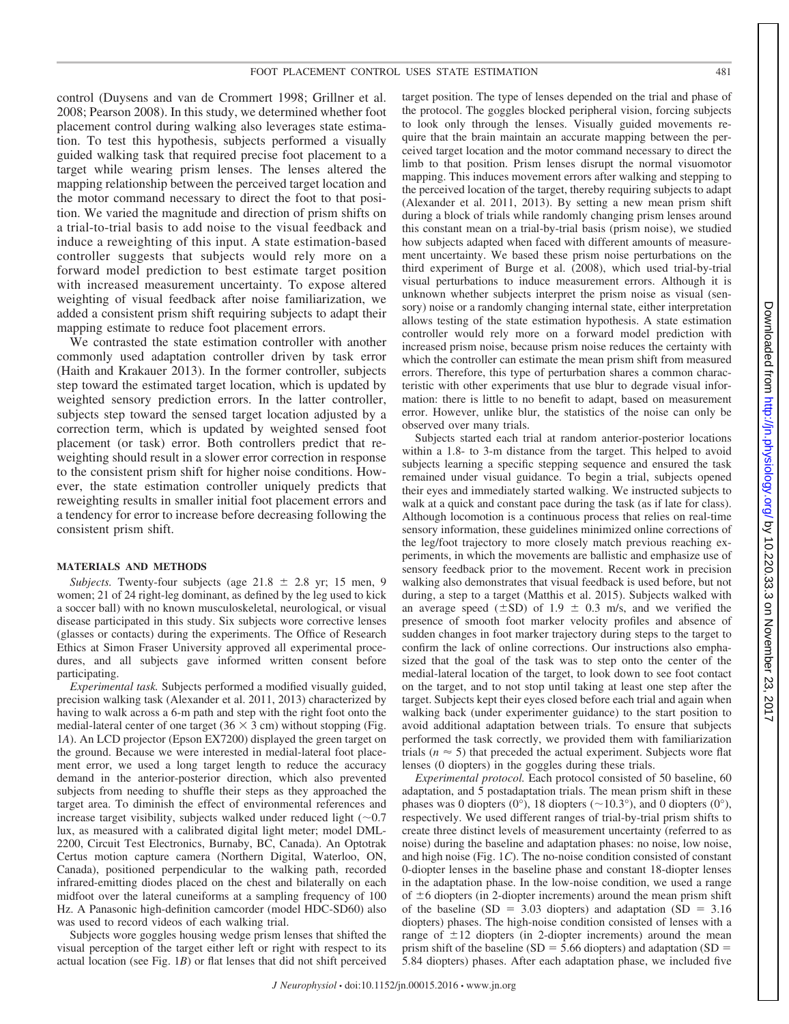control (Duysens and van de Crommert 1998; Grillner et al. 2008; Pearson 2008). In this study, we determined whether foot placement control during walking also leverages state estimation. To test this hypothesis, subjects performed a visually guided walking task that required precise foot placement to a target while wearing prism lenses. The lenses altered the mapping relationship between the perceived target location and the motor command necessary to direct the foot to that position. We varied the magnitude and direction of prism shifts on a trial-to-trial basis to add noise to the visual feedback and induce a reweighting of this input. A state estimation-based controller suggests that subjects would rely more on a forward model prediction to best estimate target position with increased measurement uncertainty. To expose altered weighting of visual feedback after noise familiarization, we added a consistent prism shift requiring subjects to adapt their mapping estimate to reduce foot placement errors.

We contrasted the state estimation controller with another commonly used adaptation controller driven by task error (Haith and Krakauer 2013). In the former controller, subjects step toward the estimated target location, which is updated by weighted sensory prediction errors. In the latter controller, subjects step toward the sensed target location adjusted by a correction term, which is updated by weighted sensed foot placement (or task) error. Both controllers predict that reweighting should result in a slower error correction in response to the consistent prism shift for higher noise conditions. However, the state estimation controller uniquely predicts that reweighting results in smaller initial foot placement errors and a tendency for error to increase before decreasing following the consistent prism shift.

## **MATERIALS AND METHODS**

*Subjects.* Twenty-four subjects (age  $21.8 \pm 2.8$  yr; 15 men, 9 women; 21 of 24 right-leg dominant, as defined by the leg used to kick a soccer ball) with no known musculoskeletal, neurological, or visual disease participated in this study. Six subjects wore corrective lenses (glasses or contacts) during the experiments. The Office of Research Ethics at Simon Fraser University approved all experimental procedures, and all subjects gave informed written consent before participating.

*Experimental task.* Subjects performed a modified visually guided, precision walking task (Alexander et al. 2011, 2013) characterized by having to walk across a 6-m path and step with the right foot onto the medial-lateral center of one target ( $36 \times 3$  cm) without stopping (Fig. 1*A*). An LCD projector (Epson EX7200) displayed the green target on the ground. Because we were interested in medial-lateral foot placement error, we used a long target length to reduce the accuracy demand in the anterior-posterior direction, which also prevented subjects from needing to shuffle their steps as they approached the target area. To diminish the effect of environmental references and increase target visibility, subjects walked under reduced light  $(\sim 0.7)$ lux, as measured with a calibrated digital light meter; model DML-2200, Circuit Test Electronics, Burnaby, BC, Canada). An Optotrak Certus motion capture camera (Northern Digital, Waterloo, ON, Canada), positioned perpendicular to the walking path, recorded infrared-emitting diodes placed on the chest and bilaterally on each midfoot over the lateral cuneiforms at a sampling frequency of 100 Hz. A Panasonic high-definition camcorder (model HDC-SD60) also was used to record videos of each walking trial.

Subjects wore goggles housing wedge prism lenses that shifted the visual perception of the target either left or right with respect to its actual location (see Fig. 1*B*) or flat lenses that did not shift perceived target position. The type of lenses depended on the trial and phase of the protocol. The goggles blocked peripheral vision, forcing subjects to look only through the lenses. Visually guided movements require that the brain maintain an accurate mapping between the perceived target location and the motor command necessary to direct the limb to that position. Prism lenses disrupt the normal visuomotor mapping. This induces movement errors after walking and stepping to the perceived location of the target, thereby requiring subjects to adapt (Alexander et al. 2011, 2013). By setting a new mean prism shift during a block of trials while randomly changing prism lenses around this constant mean on a trial-by-trial basis (prism noise), we studied how subjects adapted when faced with different amounts of measurement uncertainty. We based these prism noise perturbations on the third experiment of Burge et al. (2008), which used trial-by-trial visual perturbations to induce measurement errors. Although it is unknown whether subjects interpret the prism noise as visual (sensory) noise or a randomly changing internal state, either interpretation allows testing of the state estimation hypothesis. A state estimation controller would rely more on a forward model prediction with increased prism noise, because prism noise reduces the certainty with which the controller can estimate the mean prism shift from measured errors. Therefore, this type of perturbation shares a common characteristic with other experiments that use blur to degrade visual information: there is little to no benefit to adapt, based on measurement error. However, unlike blur, the statistics of the noise can only be observed over many trials.

Subjects started each trial at random anterior-posterior locations within a 1.8- to 3-m distance from the target. This helped to avoid subjects learning a specific stepping sequence and ensured the task remained under visual guidance. To begin a trial, subjects opened their eyes and immediately started walking. We instructed subjects to walk at a quick and constant pace during the task (as if late for class). Although locomotion is a continuous process that relies on real-time sensory information, these guidelines minimized online corrections of the leg/foot trajectory to more closely match previous reaching experiments, in which the movements are ballistic and emphasize use of sensory feedback prior to the movement. Recent work in precision walking also demonstrates that visual feedback is used before, but not during, a step to a target (Matthis et al. 2015). Subjects walked with an average speed  $(\pm SD)$  of 1.9  $\pm$  0.3 m/s, and we verified the presence of smooth foot marker velocity profiles and absence of sudden changes in foot marker trajectory during steps to the target to confirm the lack of online corrections. Our instructions also emphasized that the goal of the task was to step onto the center of the medial-lateral location of the target, to look down to see foot contact on the target, and to not stop until taking at least one step after the target. Subjects kept their eyes closed before each trial and again when walking back (under experimenter guidance) to the start position to avoid additional adaptation between trials. To ensure that subjects performed the task correctly, we provided them with familiarization trials ( $n \approx 5$ ) that preceded the actual experiment. Subjects wore flat lenses (0 diopters) in the goggles during these trials.

*Experimental protocol.* Each protocol consisted of 50 baseline, 60 adaptation, and 5 postadaptation trials. The mean prism shift in these phases was 0 diopters (0°), 18 diopters ( $\sim$ 10.3°), and 0 diopters (0°), respectively. We used different ranges of trial-by-trial prism shifts to create three distinct levels of measurement uncertainty (referred to as noise) during the baseline and adaptation phases: no noise, low noise, and high noise (Fig. 1*C*). The no-noise condition consisted of constant 0-diopter lenses in the baseline phase and constant 18-diopter lenses in the adaptation phase. In the low-noise condition, we used a range of  $\pm 6$  diopters (in 2-diopter increments) around the mean prism shift of the baseline (SD =  $3.03$  diopters) and adaptation (SD =  $3.16$ ) diopters) phases. The high-noise condition consisted of lenses with a range of  $\pm 12$  diopters (in 2-diopter increments) around the mean prism shift of the baseline (SD =  $5.66$  diopters) and adaptation (SD = 5.84 diopters) phases. After each adaptation phase, we included five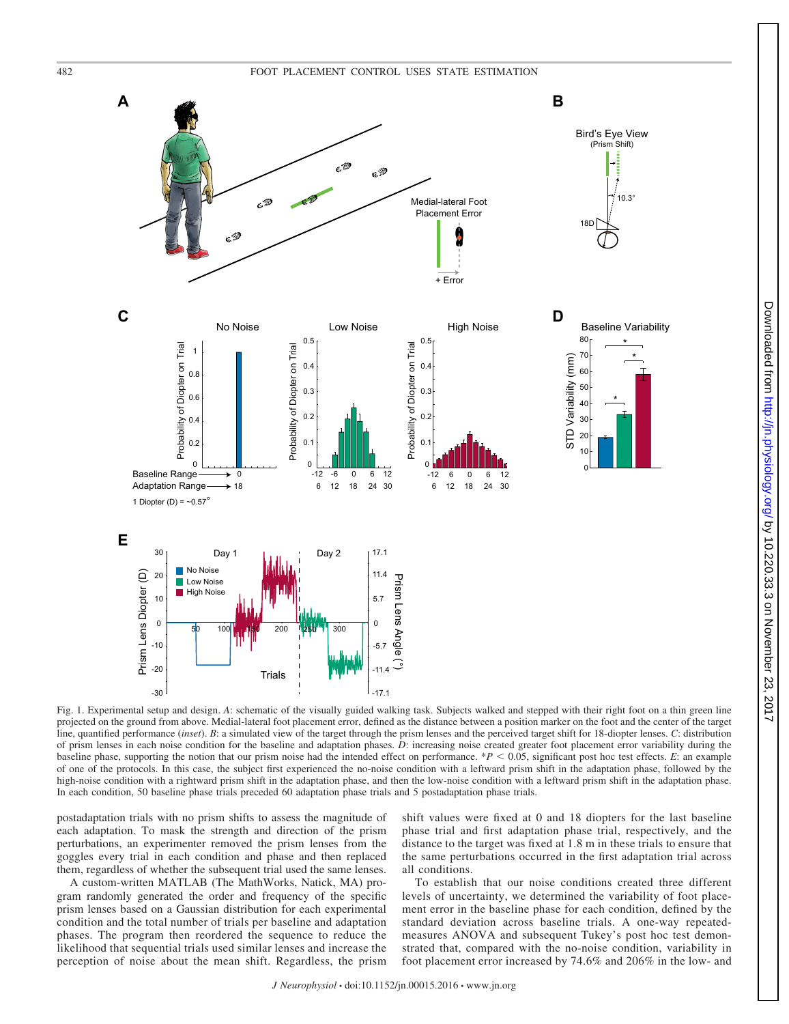# 482 FOOT PLACEMENT CONTROL USES STATE ESTIMATION



Downloaded from http://jn.physiology.org/ by 10.220.33.3 on November 23, by 10.220.33.3 on November 23, 2017 <http://jn.physiology.org/> Downloaded from 2017

Fig. 1. Experimental setup and design. *A*: schematic of the visually guided walking task. Subjects walked and stepped with their right foot on a thin green line projected on the ground from above. Medial-lateral foot placement error, defined as the distance between a position marker on the foot and the center of the target line, quantified performance (*inset*). *B*: a simulated view of the target through the prism lenses and the perceived target shift for 18-diopter lenses. *C*: distribution of prism lenses in each noise condition for the baseline and adaptation phases. *D*: increasing noise created greater foot placement error variability during the baseline phase, supporting the notion that our prism noise had the intended effect on performance.  $P < 0.05$ , significant post hoc test effects. *E*: an example of one of the protocols. In this case, the subject first experienced the no-noise condition with a leftward prism shift in the adaptation phase, followed by the high-noise condition with a rightward prism shift in the adaptation phase, and then the low-noise condition with a leftward prism shift in the adaptation phase. In each condition, 50 baseline phase trials preceded 60 adaptation phase trials and 5 postadaptation phase trials.

postadaptation trials with no prism shifts to assess the magnitude of each adaptation. To mask the strength and direction of the prism perturbations, an experimenter removed the prism lenses from the goggles every trial in each condition and phase and then replaced them, regardless of whether the subsequent trial used the same lenses.

A custom-written MATLAB (The MathWorks, Natick, MA) program randomly generated the order and frequency of the specific prism lenses based on a Gaussian distribution for each experimental condition and the total number of trials per baseline and adaptation phases. The program then reordered the sequence to reduce the likelihood that sequential trials used similar lenses and increase the perception of noise about the mean shift. Regardless, the prism shift values were fixed at 0 and 18 diopters for the last baseline phase trial and first adaptation phase trial, respectively, and the distance to the target was fixed at 1.8 m in these trials to ensure that the same perturbations occurred in the first adaptation trial across all conditions.

To establish that our noise conditions created three different levels of uncertainty, we determined the variability of foot placement error in the baseline phase for each condition, defined by the standard deviation across baseline trials. A one-way repeatedmeasures ANOVA and subsequent Tukey's post hoc test demonstrated that, compared with the no-noise condition, variability in foot placement error increased by 74.6% and 206% in the low- and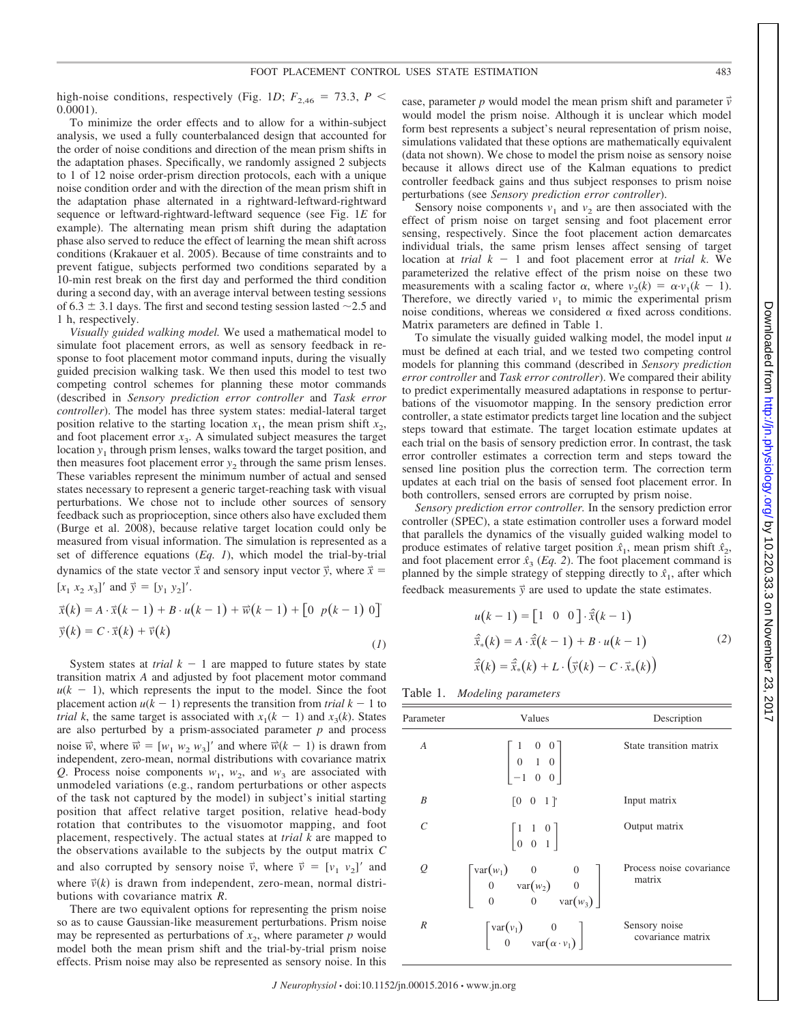high-noise conditions, respectively (Fig. 1*D*;  $F_{2,46} = 73.3$ ,  $P \leq$ 0.0001).

To minimize the order effects and to allow for a within-subject analysis, we used a fully counterbalanced design that accounted for the order of noise conditions and direction of the mean prism shifts in the adaptation phases. Specifically, we randomly assigned 2 subjects to 1 of 12 noise order-prism direction protocols, each with a unique noise condition order and with the direction of the mean prism shift in the adaptation phase alternated in a rightward-leftward-rightward sequence or leftward-rightward-leftward sequence (see Fig. 1*E* for example). The alternating mean prism shift during the adaptation phase also served to reduce the effect of learning the mean shift across conditions (Krakauer et al. 2005). Because of time constraints and to prevent fatigue, subjects performed two conditions separated by a 10-min rest break on the first day and performed the third condition during a second day, with an average interval between testing sessions of 6.3  $\pm$  3.1 days. The first and second testing session lasted  $\sim$ 2.5 and 1 h, respectively.

*Visually guided walking model.* We used a mathematical model to simulate foot placement errors, as well as sensory feedback in response to foot placement motor command inputs, during the visually guided precision walking task. We then used this model to test two competing control schemes for planning these motor commands (described in *Sensory prediction error controller* and *Task error controller*). The model has three system states: medial-lateral target position relative to the starting location  $x_1$ , the mean prism shift  $x_2$ , and foot placement error  $x_3$ . A simulated subject measures the target location  $y_1$  through prism lenses, walks toward the target position, and then measures foot placement error  $y_2$  through the same prism lenses. These variables represent the minimum number of actual and sensed states necessary to represent a generic target-reaching task with visual perturbations. We chose not to include other sources of sensory feedback such as proprioception, since others also have excluded them (Burge et al. 2008), because relative target location could only be measured from visual information. The simulation is represented as a set of difference equations (*Eq. 1*), which model the trial-by-trial dynamics of the state vector  $\vec{x}$  and sensory input vector  $\vec{y}$ , where  $\vec{x}$  =  $[x_1 \ x_2 \ x_3]'$  and  $\vec{y} = [y_1 \ y_2]'$ .

$$
\vec{x}(k) = A \cdot \vec{x}(k-1) + B \cdot u(k-1) + \vec{w}(k-1) + [0 \ p(k-1) \ 0]'
$$
  

$$
\vec{y}(k) = C \cdot \vec{x}(k) + \vec{v}(k)
$$
 (1)

System states at *trial*  $k - 1$  are mapped to future states by state transition matrix *A* and adjusted by foot placement motor command  $u(k - 1)$ , which represents the input to the model. Since the foot placement action  $u(k - 1)$  represents the transition from *trial*  $k - 1$  to *trial k*, the same target is associated with  $x_1(k - 1)$  and  $x_3(k)$ . States are also perturbed by a prism-associated parameter *p* and process noise  $\vec{w}$ , where  $\vec{w} = [w_1 \ w_2 \ w_3]'$  and where  $\vec{w}(k-1)$  is drawn from independent, zero-mean, normal distributions with covariance matrix Q. Process noise components  $w_1$ ,  $w_2$ , and  $w_3$  are associated with unmodeled variations (e.g., random perturbations or other aspects of the task not captured by the model) in subject's initial starting position that affect relative target position, relative head-body rotation that contributes to the visuomotor mapping, and foot placement, respectively. The actual states at *trial k* are mapped to the observations available to the subjects by the output matrix *C* and also corrupted by sensory noise  $\vec{v}$ , where  $\vec{v} = [v_1 \ v_2]'$  and where  $\vec{v}(k)$  is drawn from independent, zero-mean, normal distributions with covariance matrix *R*.

There are two equivalent options for representing the prism noise so as to cause Gaussian-like measurement perturbations. Prism noise may be represented as perturbations of  $x_2$ , where parameter  $p$  would model both the mean prism shift and the trial-by-trial prism noise effects. Prism noise may also be represented as sensory noise. In this

case, parameter  $p$  would model the mean prism shift and parameter  $\vec{v}$ would model the prism noise. Although it is unclear which model form best represents a subject's neural representation of prism noise, simulations validated that these options are mathematically equivalent (data not shown). We chose to model the prism noise as sensory noise because it allows direct use of the Kalman equations to predict controller feedback gains and thus subject responses to prism noise perturbations (see *Sensory prediction error controller*).

Sensory noise components  $v_1$  and  $v_2$  are then associated with the effect of prism noise on target sensing and foot placement error sensing, respectively. Since the foot placement action demarcates individual trials, the same prism lenses affect sensing of target location at *trial*  $k - 1$  and foot placement error at *trial*  $k$ . We parameterized the relative effect of the prism noise on these two measurements with a scaling factor  $\alpha$ , where  $v_2(k) = \alpha v_1(k - 1)$ . Therefore, we directly varied  $v_1$  to mimic the experimental prism noise conditions, whereas we considered  $\alpha$  fixed across conditions. Matrix parameters are defined in Table 1.

To simulate the visually guided walking model, the model input *u* must be defined at each trial, and we tested two competing control models for planning this command (described in *Sensory prediction error controller* and *Task error controller*). We compared their ability to predict experimentally measured adaptations in response to perturbations of the visuomotor mapping. In the sensory prediction error controller, a state estimator predicts target line location and the subject steps toward that estimate. The target location estimate updates at each trial on the basis of sensory prediction error. In contrast, the task error controller estimates a correction term and steps toward the sensed line position plus the correction term. The correction term updates at each trial on the basis of sensed foot placement error. In both controllers, sensed errors are corrupted by prism noise.

*Sensory prediction error controller.* In the sensory prediction error controller (SPEC), a state estimation controller uses a forward model that parallels the dynamics of the visually guided walking model to produce estimates of relative target position  $\hat{x}_1$ , mean prism shift  $\hat{x}_2$ , and foot placement error  $\hat{x}_3$  (*Eq. 2*). The foot placement command is planned by the simple strategy of stepping directly to  $\hat{x}_1$ , after which feedback measurements  $\vec{y}$  are used to update the state estimates.

$$
u(k-1) = \begin{bmatrix} 1 & 0 & 0 \end{bmatrix} \cdot \hat{\vec{x}}(k-1)
$$
  

$$
\hat{\vec{x}}_*(k) = A \cdot \hat{\vec{x}}(k-1) + B \cdot u(k-1)
$$
 (2)  

$$
\hat{\vec{x}}(k) = \hat{\vec{x}}_*(k) + L \cdot (\vec{y}(k) - C \cdot \vec{x}_*(k))
$$

Table 1. *Modeling parameters*

| Parameter      | Values                                                                                                        | Description                        |
|----------------|---------------------------------------------------------------------------------------------------------------|------------------------------------|
| A              | $\begin{bmatrix} 1 & 0 & 0 \\ 0 & 1 & 0 \\ -1 & 0 & 0 \end{bmatrix}$                                          | State transition matrix            |
| B              | $[0 \ 0 \ 1]$                                                                                                 | Input matrix                       |
| $\overline{C}$ | $\begin{bmatrix} 1 & 1 & 0 \\ 0 & 0 & 1 \end{bmatrix}$                                                        | Output matrix                      |
| Q              | $\begin{bmatrix} \text{var}(w_1) & 0 & 0 \\ 0 & \text{var}(w_2) & 0 \\ 0 & 0 & \text{var}(w_3) \end{bmatrix}$ | Process noise covariance<br>matrix |
| R              | $\begin{bmatrix} \n\text{var}(v_1) & 0 \\ \n0 & \text{var}(\alpha \cdot v_1) \n\end{bmatrix}$                 | Sensory noise<br>covariance matrix |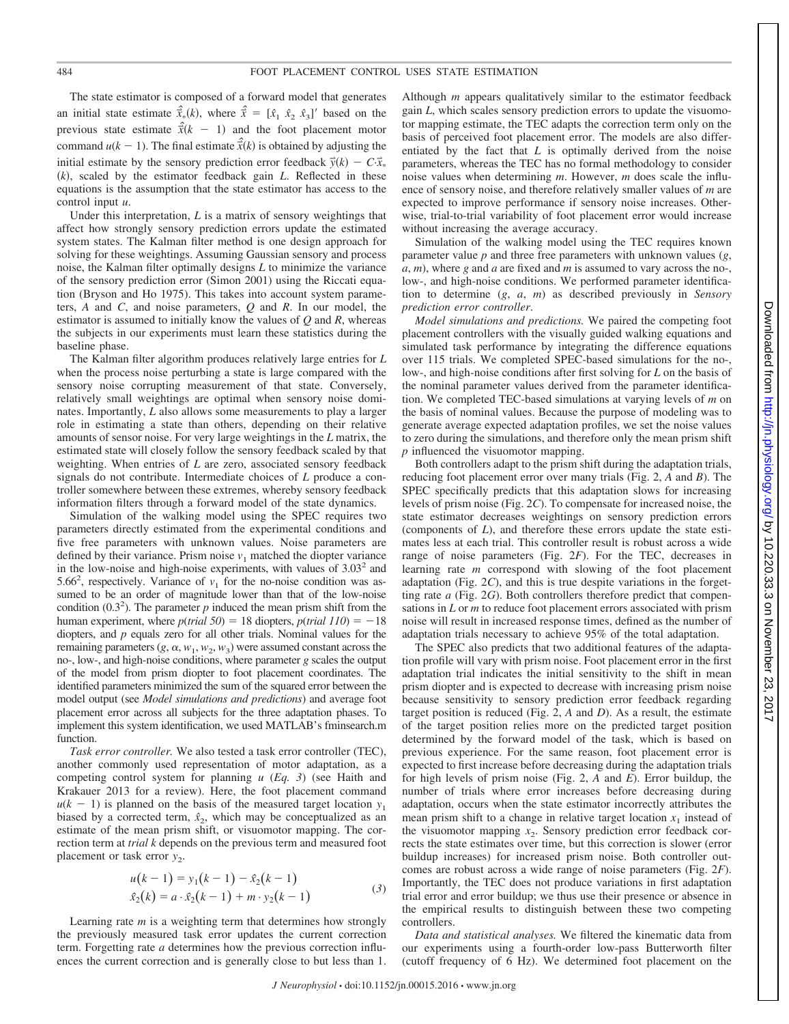The state estimator is composed of a forward model that generates an initial state estimate  $\hat{\vec{x}}_*(k)$ , where  $\hat{\vec{x}} = [\hat{x}_1 \ \hat{x}_2 \ \hat{x}_3]'$  based on the previous state estimate  $\hat{\vec{x}}(k - 1)$  and the foot placement motor command  $u(k - 1)$ . The final estimate  $\hat{\vec{x}}(k)$  is obtained by adjusting the initial estimate by the sensory prediction error feedback  $\vec{y}(k) - C\vec{x}$ . -*k*, scaled by the estimator feedback gain *L*. Reflected in these equations is the assumption that the state estimator has access to the control input *u*.

Under this interpretation, *L* is a matrix of sensory weightings that affect how strongly sensory prediction errors update the estimated system states. The Kalman filter method is one design approach for solving for these weightings. Assuming Gaussian sensory and process noise, the Kalman filter optimally designs *L* to minimize the variance of the sensory prediction error (Simon 2001) using the Riccati equation (Bryson and Ho 1975). This takes into account system parameters, *A* and *C*, and noise parameters, *Q* and *R*. In our model, the estimator is assumed to initially know the values of *Q* and *R*, whereas the subjects in our experiments must learn these statistics during the baseline phase.

The Kalman filter algorithm produces relatively large entries for *L* when the process noise perturbing a state is large compared with the sensory noise corrupting measurement of that state. Conversely, relatively small weightings are optimal when sensory noise dominates. Importantly, *L* also allows some measurements to play a larger role in estimating a state than others, depending on their relative amounts of sensor noise. For very large weightings in the *L* matrix, the estimated state will closely follow the sensory feedback scaled by that weighting. When entries of *L* are zero, associated sensory feedback signals do not contribute. Intermediate choices of *L* produce a controller somewhere between these extremes, whereby sensory feedback information filters through a forward model of the state dynamics.

Simulation of the walking model using the SPEC requires two parameters directly estimated from the experimental conditions and five free parameters with unknown values. Noise parameters are defined by their variance. Prism noise  $v_1$  matched the diopter variance in the low-noise and high-noise experiments, with values of  $3.03<sup>2</sup>$  and 5.66<sup>2</sup>, respectively. Variance of  $v_1$  for the no-noise condition was assumed to be an order of magnitude lower than that of the low-noise condition  $(0.3^2)$ . The parameter *p* induced the mean prism shift from the human experiment, where  $p(train 50) = 18$  diopters,  $p(train 110) = -18$ diopters, and *p* equals zero for all other trials. Nominal values for the remaining parameters  $(g, \alpha, w_1, w_2, w_3)$  were assumed constant across the no-, low-, and high-noise conditions, where parameter *g* scales the output of the model from prism diopter to foot placement coordinates. The identified parameters minimized the sum of the squared error between the model output (see *Model simulations and predictions*) and average foot placement error across all subjects for the three adaptation phases. To implement this system identification, we used MATLAB's fminsearch.m function.

*Task error controller.* We also tested a task error controller (TEC), another commonly used representation of motor adaptation, as a competing control system for planning *u* (*Eq. 3*) (see Haith and Krakauer 2013 for a review). Here, the foot placement command  $u(k - 1)$  is planned on the basis of the measured target location  $y_1$ biased by a corrected term,  $\hat{x}_2$ , which may be conceptualized as an estimate of the mean prism shift, or visuomotor mapping. The correction term at *trial k* depends on the previous term and measured foot placement or task error  $y_2$ .

$$
u(k-1) = y_1(k-1) - \hat{x}_2(k-1)
$$
  
\n
$$
\hat{x}_2(k) = a \cdot \hat{x}_2(k-1) + m \cdot y_2(k-1)
$$
\n(3)

Learning rate *m* is a weighting term that determines how strongly the previously measured task error updates the current correction term. Forgetting rate *a* determines how the previous correction influences the current correction and is generally close to but less than 1.

Although *m* appears qualitatively similar to the estimator feedback gain *L*, which scales sensory prediction errors to update the visuomotor mapping estimate, the TEC adapts the correction term only on the basis of perceived foot placement error. The models are also differentiated by the fact that *L* is optimally derived from the noise parameters, whereas the TEC has no formal methodology to consider noise values when determining *m*. However, *m* does scale the influence of sensory noise, and therefore relatively smaller values of *m* are expected to improve performance if sensory noise increases. Otherwise, trial-to-trial variability of foot placement error would increase without increasing the average accuracy.

Simulation of the walking model using the TEC requires known parameter value *p* and three free parameters with unknown values (*g*, *a*, *m*), where *g* and *a* are fixed and *m* is assumed to vary across the no-, low-, and high-noise conditions. We performed parameter identification to determine (*g*, *a*, *m*) as described previously in *Sensory prediction error controller*.

*Model simulations and predictions.* We paired the competing foot placement controllers with the visually guided walking equations and simulated task performance by integrating the difference equations over 115 trials. We completed SPEC-based simulations for the no-, low-, and high-noise conditions after first solving for *L* on the basis of the nominal parameter values derived from the parameter identification. We completed TEC-based simulations at varying levels of *m* on the basis of nominal values. Because the purpose of modeling was to generate average expected adaptation profiles, we set the noise values to zero during the simulations, and therefore only the mean prism shift *p* influenced the visuomotor mapping.

Both controllers adapt to the prism shift during the adaptation trials, reducing foot placement error over many trials (Fig. 2, *A* and *B*). The SPEC specifically predicts that this adaptation slows for increasing levels of prism noise (Fig. 2*C*). To compensate for increased noise, the state estimator decreases weightings on sensory prediction errors (components of *L*), and therefore these errors update the state estimates less at each trial. This controller result is robust across a wide range of noise parameters (Fig. 2*F*). For the TEC, decreases in learning rate *m* correspond with slowing of the foot placement adaptation (Fig. 2*C*), and this is true despite variations in the forgetting rate *a* (Fig. 2*G*). Both controllers therefore predict that compensations in *L* or *m* to reduce foot placement errors associated with prism noise will result in increased response times, defined as the number of adaptation trials necessary to achieve 95% of the total adaptation.

The SPEC also predicts that two additional features of the adaptation profile will vary with prism noise. Foot placement error in the first adaptation trial indicates the initial sensitivity to the shift in mean prism diopter and is expected to decrease with increasing prism noise because sensitivity to sensory prediction error feedback regarding target position is reduced (Fig. 2, *A* and *D*). As a result, the estimate of the target position relies more on the predicted target position determined by the forward model of the task, which is based on previous experience. For the same reason, foot placement error is expected to first increase before decreasing during the adaptation trials for high levels of prism noise (Fig. 2, *A* and *E*). Error buildup, the number of trials where error increases before decreasing during adaptation, occurs when the state estimator incorrectly attributes the mean prism shift to a change in relative target location  $x_1$  instead of the visuomotor mapping  $x_2$ . Sensory prediction error feedback corrects the state estimates over time, but this correction is slower (error buildup increases) for increased prism noise. Both controller outcomes are robust across a wide range of noise parameters (Fig. 2*F*). Importantly, the TEC does not produce variations in first adaptation trial error and error buildup; we thus use their presence or absence in the empirical results to distinguish between these two competing controllers.

*Data and statistical analyses.* We filtered the kinematic data from our experiments using a fourth-order low-pass Butterworth filter (cutoff frequency of 6 Hz). We determined foot placement on the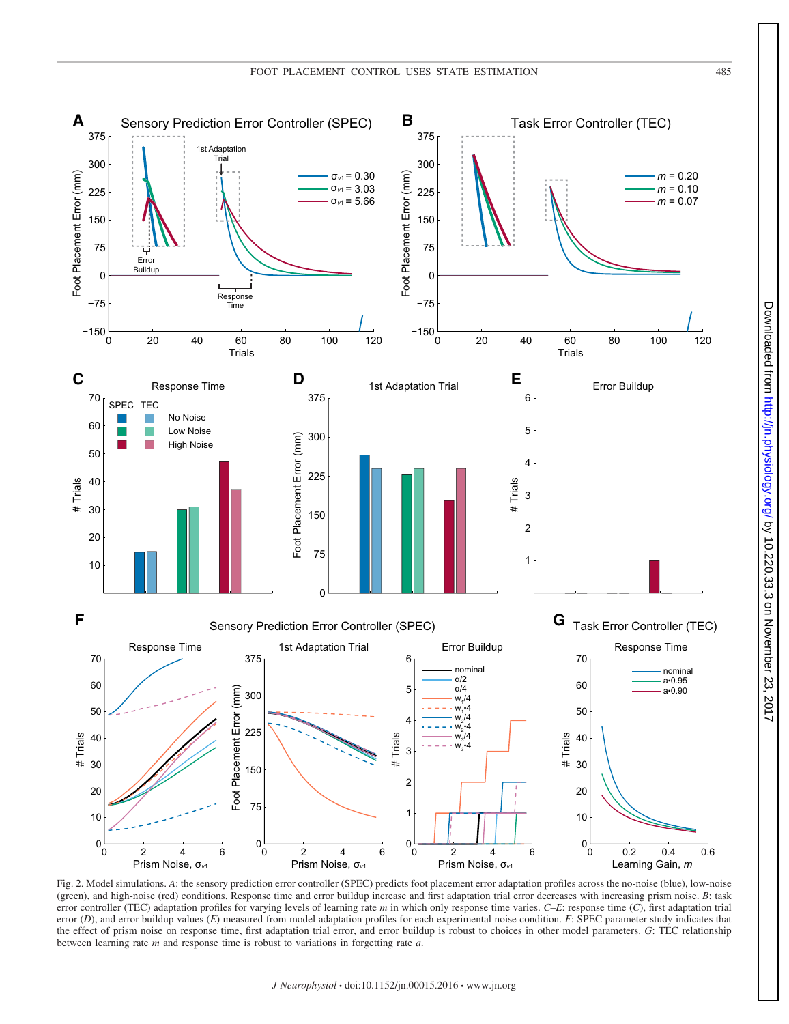

Fig. 2. Model simulations. *A*: the sensory prediction error controller (SPEC) predicts foot placement error adaptation profiles across the no-noise (blue), low-noise (green), and high-noise (red) conditions. Response time and error buildup increase and first adaptation trial error decreases with increasing prism noise. *B*: task error controller (TEC) adaptation profiles for varying levels of learning rate *m* in which only response time varies. *C–E*: response time (*C*), first adaptation trial error (*D*), and error buildup values (*E*) measured from model adaptation profiles for each experimental noise condition. *F*: SPEC parameter study indicates that the effect of prism noise on response time, first adaptation trial error, and error buildup is robust to choices in other model parameters. *G*: TEC relationship between learning rate *m* and response time is robust to variations in forgetting rate *a*.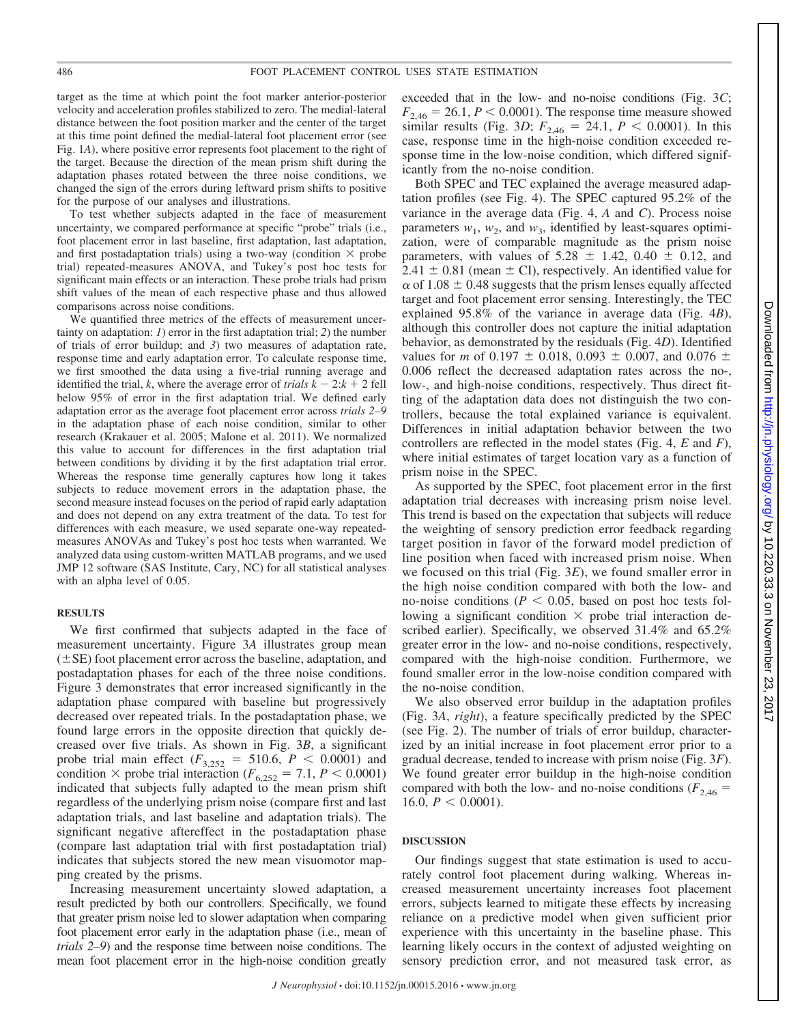target as the time at which point the foot marker anterior-posterior velocity and acceleration profiles stabilized to zero. The medial-lateral distance between the foot position marker and the center of the target at this time point defined the medial-lateral foot placement error (see Fig. 1*A*), where positive error represents foot placement to the right of the target. Because the direction of the mean prism shift during the adaptation phases rotated between the three noise conditions, we changed the sign of the errors during leftward prism shifts to positive for the purpose of our analyses and illustrations.

To test whether subjects adapted in the face of measurement uncertainty, we compared performance at specific "probe" trials (i.e., foot placement error in last baseline, first adaptation, last adaptation, and first postadaptation trials) using a two-way (condition  $\times$  probe trial) repeated-measures ANOVA, and Tukey's post hoc tests for significant main effects or an interaction. These probe trials had prism shift values of the mean of each respective phase and thus allowed comparisons across noise conditions.

We quantified three metrics of the effects of measurement uncertainty on adaptation: *1*) error in the first adaptation trial; *2*) the number of trials of error buildup; and *3*) two measures of adaptation rate, response time and early adaptation error. To calculate response time, we first smoothed the data using a five-trial running average and identified the trial, *k*, where the average error of *trials*  $k - 2:k + 2$  fell below 95% of error in the first adaptation trial. We defined early adaptation error as the average foot placement error across *trials 2–9* in the adaptation phase of each noise condition, similar to other research (Krakauer et al. 2005; Malone et al. 2011). We normalized this value to account for differences in the first adaptation trial between conditions by dividing it by the first adaptation trial error. Whereas the response time generally captures how long it takes subjects to reduce movement errors in the adaptation phase, the second measure instead focuses on the period of rapid early adaptation and does not depend on any extra treatment of the data. To test for differences with each measure, we used separate one-way repeatedmeasures ANOVAs and Tukey's post hoc tests when warranted. We analyzed data using custom-written MATLAB programs, and we used JMP 12 software (SAS Institute, Cary, NC) for all statistical analyses with an alpha level of 0.05.

# **RESULTS**

We first confirmed that subjects adapted in the face of measurement uncertainty. Figure 3*A* illustrates group mean  $(\pm S$ E) foot placement error across the baseline, adaptation, and postadaptation phases for each of the three noise conditions. Figure 3 demonstrates that error increased significantly in the adaptation phase compared with baseline but progressively decreased over repeated trials. In the postadaptation phase, we found large errors in the opposite direction that quickly decreased over five trials. As shown in Fig. 3*B*, a significant probe trial main effect ( $F_{3,252} = 510.6$ ,  $P < 0.0001$ ) and condition  $\times$  probe trial interaction ( $F_{6,252} = 7.1$ ,  $P < 0.0001$ ) indicated that subjects fully adapted to the mean prism shift regardless of the underlying prism noise (compare first and last adaptation trials, and last baseline and adaptation trials). The significant negative aftereffect in the postadaptation phase (compare last adaptation trial with first postadaptation trial) indicates that subjects stored the new mean visuomotor mapping created by the prisms.

Increasing measurement uncertainty slowed adaptation, a result predicted by both our controllers. Specifically, we found that greater prism noise led to slower adaptation when comparing foot placement error early in the adaptation phase (i.e., mean of *trials 2–9*) and the response time between noise conditions. The mean foot placement error in the high-noise condition greatly

exceeded that in the low- and no-noise conditions (Fig. 3*C*;  $F_{2,46} = 26.1, P \le 0.0001$ . The response time measure showed similar results (Fig. 3*D*;  $F_{2,46} = 24.1, P \le 0.0001$ ). In this case, response time in the high-noise condition exceeded response time in the low-noise condition, which differed significantly from the no-noise condition.

Both SPEC and TEC explained the average measured adaptation profiles (see Fig. 4). The SPEC captured 95.2% of the variance in the average data (Fig. 4, *A* and *C*). Process noise parameters  $w_1$ ,  $w_2$ , and  $w_3$ , identified by least-squares optimization, were of comparable magnitude as the prism noise parameters, with values of  $5.28 \pm 1.42$ ,  $0.40 \pm 0.12$ , and  $2.41 \pm 0.81$  (mean  $\pm$  CI), respectively. An identified value for  $\alpha$  of 1.08  $\pm$  0.48 suggests that the prism lenses equally affected target and foot placement error sensing. Interestingly, the TEC explained 95.8% of the variance in average data (Fig. 4*B*), although this controller does not capture the initial adaptation behavior, as demonstrated by the residuals (Fig. 4*D*). Identified values for *m* of 0.197  $\pm$  0.018, 0.093  $\pm$  0.007, and 0.076  $\pm$ 0.006 reflect the decreased adaptation rates across the no-, low-, and high-noise conditions, respectively. Thus direct fitting of the adaptation data does not distinguish the two controllers, because the total explained variance is equivalent. Differences in initial adaptation behavior between the two controllers are reflected in the model states (Fig. 4, *E* and *F*), where initial estimates of target location vary as a function of prism noise in the SPEC.

As supported by the SPEC, foot placement error in the first adaptation trial decreases with increasing prism noise level. This trend is based on the expectation that subjects will reduce the weighting of sensory prediction error feedback regarding target position in favor of the forward model prediction of line position when faced with increased prism noise. When we focused on this trial (Fig. 3*E*), we found smaller error in the high noise condition compared with both the low- and no-noise conditions ( $P \le 0.05$ , based on post hoc tests following a significant condition  $\times$  probe trial interaction described earlier). Specifically, we observed 31.4% and 65.2% greater error in the low- and no-noise conditions, respectively, compared with the high-noise condition. Furthermore, we found smaller error in the low-noise condition compared with the no-noise condition.

We also observed error buildup in the adaptation profiles (Fig. 3*A*, *right*), a feature specifically predicted by the SPEC (see Fig. 2). The number of trials of error buildup, characterized by an initial increase in foot placement error prior to a gradual decrease, tended to increase with prism noise (Fig. 3*F*). We found greater error buildup in the high-noise condition compared with both the low- and no-noise conditions ( $F_{2,46}$  = 16.0,  $P < 0.0001$ ).

# **DISCUSSION**

Our findings suggest that state estimation is used to accurately control foot placement during walking. Whereas increased measurement uncertainty increases foot placement errors, subjects learned to mitigate these effects by increasing reliance on a predictive model when given sufficient prior experience with this uncertainty in the baseline phase. This learning likely occurs in the context of adjusted weighting on sensory prediction error, and not measured task error, as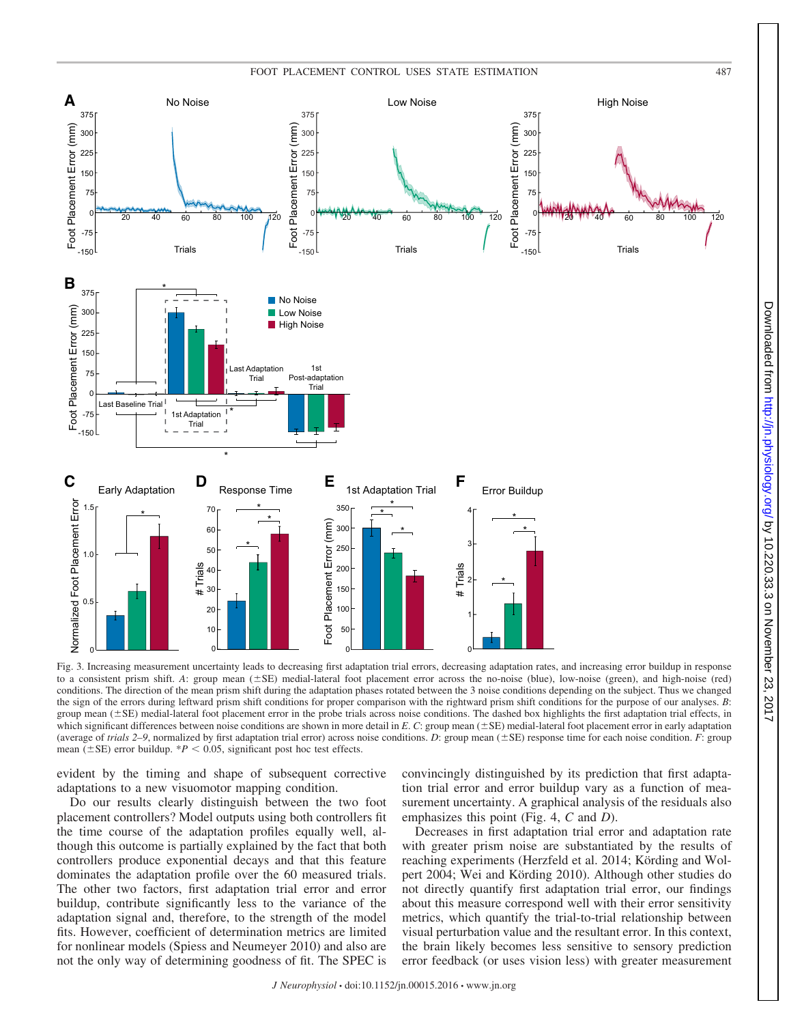

Fig. 3. Increasing measurement uncertainty leads to decreasing first adaptation trial errors, decreasing adaptation rates, and increasing error buildup in response to a consistent prism shift. A: group mean ( $\pm$ SE) medial-lateral foot placement error across the no-noise (blue), low-noise (green), and high-noise (red) conditions. The direction of the mean prism shift during the adaptation phases rotated between the 3 noise conditions depending on the subject. Thus we changed the sign of the errors during leftward prism shift conditions for proper comparison with the rightward prism shift conditions for the purpose of our analyses. *B*: group mean  $(\pm$ SE) medial-lateral foot placement error in the probe trials across noise conditions. The dashed box highlights the first adaptation trial effects, in which significant differences between noise conditions are shown in more detail in *E*. *C*: group mean ( $\pm$ SE) medial-lateral foot placement error in early adaptation (average of *trials 2–9*, normalized by first adaptation trial error) across noise conditions. *D*: group mean  $(\pm SE)$  response time for each noise condition. *F*: group mean ( $\pm$ SE) error buildup.  $*P$  < 0.05, significant post hoc test effects.

evident by the timing and shape of subsequent corrective adaptations to a new visuomotor mapping condition.

Do our results clearly distinguish between the two foot placement controllers? Model outputs using both controllers fit the time course of the adaptation profiles equally well, although this outcome is partially explained by the fact that both controllers produce exponential decays and that this feature dominates the adaptation profile over the 60 measured trials. The other two factors, first adaptation trial error and error buildup, contribute significantly less to the variance of the adaptation signal and, therefore, to the strength of the model fits. However, coefficient of determination metrics are limited for nonlinear models (Spiess and Neumeyer 2010) and also are not the only way of determining goodness of fit. The SPEC is

convincingly distinguished by its prediction that first adaptation trial error and error buildup vary as a function of measurement uncertainty. A graphical analysis of the residuals also emphasizes this point (Fig. 4, *C* and *D*).

Decreases in first adaptation trial error and adaptation rate with greater prism noise are substantiated by the results of reaching experiments (Herzfeld et al. 2014; Körding and Wolpert 2004; Wei and Körding 2010). Although other studies do not directly quantify first adaptation trial error, our findings about this measure correspond well with their error sensitivity metrics, which quantify the trial-to-trial relationship between visual perturbation value and the resultant error. In this context, the brain likely becomes less sensitive to sensory prediction error feedback (or uses vision less) with greater measurement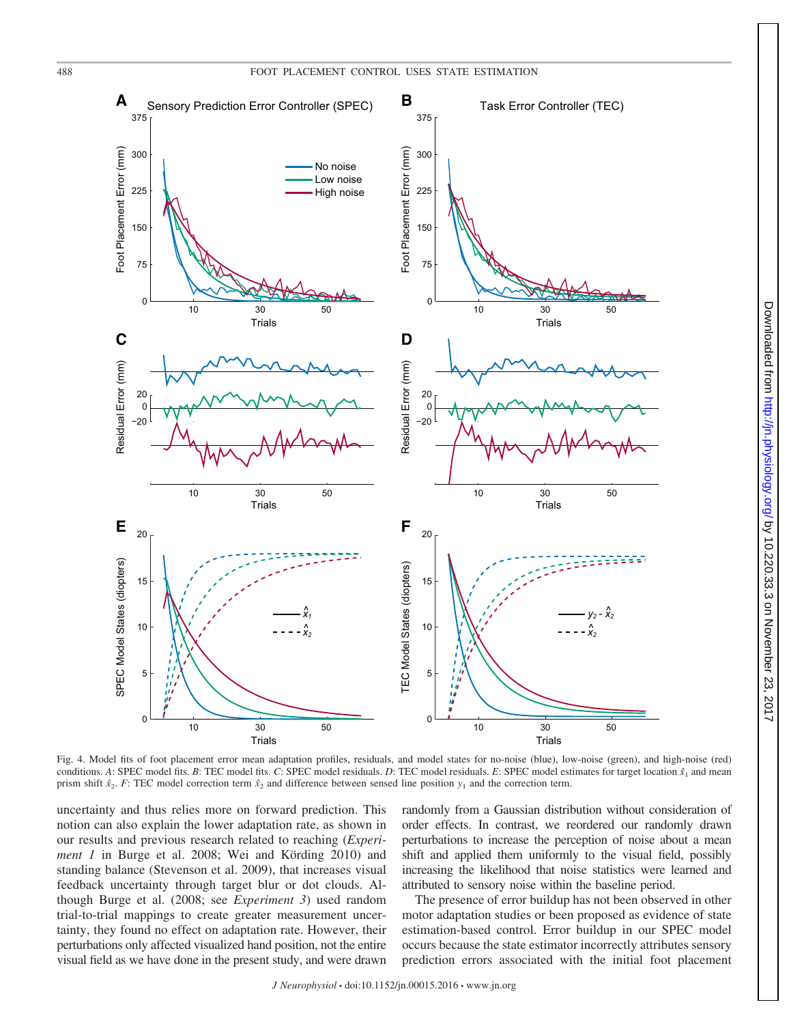

Fig. 4. Model fits of foot placement error mean adaptation profiles, residuals, and model states for no-noise (blue), low-noise (green), and high-noise (red) conditions. *A*: SPEC model fits. *B*: TEC model fits. *C*: SPEC model residuals. *D*: TEC model residuals. *E*: SPEC model estimates for target location  $x_1$  and mean prism shift  $\hat{x}_2$ . *F*: TEC model correction term  $\hat{x}_2$  and difference between sensed line position  $y_1$  and the correction term.

uncertainty and thus relies more on forward prediction. This notion can also explain the lower adaptation rate, as shown in our results and previous research related to reaching (*Experiment 1* in Burge et al. 2008; Wei and Körding 2010) and standing balance (Stevenson et al. 2009), that increases visual feedback uncertainty through target blur or dot clouds. Although Burge et al. (2008; see *Experiment 3*) used random trial-to-trial mappings to create greater measurement uncertainty, they found no effect on adaptation rate. However, their perturbations only affected visualized hand position, not the entire visual field as we have done in the present study, and were drawn randomly from a Gaussian distribution without consideration of order effects. In contrast, we reordered our randomly drawn perturbations to increase the perception of noise about a mean shift and applied them uniformly to the visual field, possibly increasing the likelihood that noise statistics were learned and attributed to sensory noise within the baseline period.

The presence of error buildup has not been observed in other motor adaptation studies or been proposed as evidence of state estimation-based control. Error buildup in our SPEC model occurs because the state estimator incorrectly attributes sensory prediction errors associated with the initial foot placement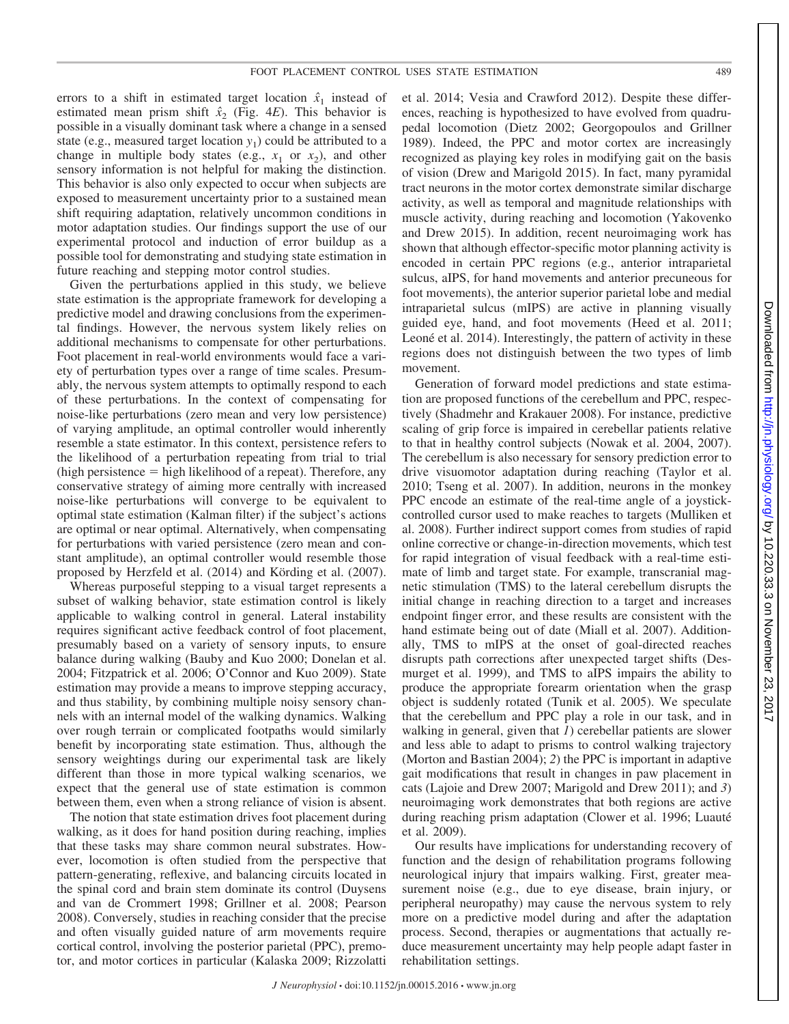errors to a shift in estimated target location  $\hat{x}_1$  instead of estimated mean prism shift  $\hat{x}_2$  (Fig. 4*E*). This behavior is possible in a visually dominant task where a change in a sensed state (e.g., measured target location  $y_1$ ) could be attributed to a change in multiple body states (e.g.,  $x_1$  or  $x_2$ ), and other sensory information is not helpful for making the distinction. This behavior is also only expected to occur when subjects are exposed to measurement uncertainty prior to a sustained mean shift requiring adaptation, relatively uncommon conditions in motor adaptation studies. Our findings support the use of our experimental protocol and induction of error buildup as a possible tool for demonstrating and studying state estimation in future reaching and stepping motor control studies.

Given the perturbations applied in this study, we believe state estimation is the appropriate framework for developing a predictive model and drawing conclusions from the experimental findings. However, the nervous system likely relies on additional mechanisms to compensate for other perturbations. Foot placement in real-world environments would face a variety of perturbation types over a range of time scales. Presumably, the nervous system attempts to optimally respond to each of these perturbations. In the context of compensating for noise-like perturbations (zero mean and very low persistence) of varying amplitude, an optimal controller would inherently resemble a state estimator. In this context, persistence refers to the likelihood of a perturbation repeating from trial to trial (high persistence  $=$  high likelihood of a repeat). Therefore, any conservative strategy of aiming more centrally with increased noise-like perturbations will converge to be equivalent to optimal state estimation (Kalman filter) if the subject's actions are optimal or near optimal. Alternatively, when compensating for perturbations with varied persistence (zero mean and constant amplitude), an optimal controller would resemble those proposed by Herzfeld et al. (2014) and Körding et al. (2007).

Whereas purposeful stepping to a visual target represents a subset of walking behavior, state estimation control is likely applicable to walking control in general. Lateral instability requires significant active feedback control of foot placement, presumably based on a variety of sensory inputs, to ensure balance during walking (Bauby and Kuo 2000; Donelan et al. 2004; Fitzpatrick et al. 2006; O'Connor and Kuo 2009). State estimation may provide a means to improve stepping accuracy, and thus stability, by combining multiple noisy sensory channels with an internal model of the walking dynamics. Walking over rough terrain or complicated footpaths would similarly benefit by incorporating state estimation. Thus, although the sensory weightings during our experimental task are likely different than those in more typical walking scenarios, we expect that the general use of state estimation is common between them, even when a strong reliance of vision is absent.

The notion that state estimation drives foot placement during walking, as it does for hand position during reaching, implies that these tasks may share common neural substrates. However, locomotion is often studied from the perspective that pattern-generating, reflexive, and balancing circuits located in the spinal cord and brain stem dominate its control (Duysens and van de Crommert 1998; Grillner et al. 2008; Pearson 2008). Conversely, studies in reaching consider that the precise and often visually guided nature of arm movements require cortical control, involving the posterior parietal (PPC), premotor, and motor cortices in particular (Kalaska 2009; Rizzolatti

et al. 2014; Vesia and Crawford 2012). Despite these differences, reaching is hypothesized to have evolved from quadrupedal locomotion (Dietz 2002; Georgopoulos and Grillner 1989). Indeed, the PPC and motor cortex are increasingly recognized as playing key roles in modifying gait on the basis of vision (Drew and Marigold 2015). In fact, many pyramidal tract neurons in the motor cortex demonstrate similar discharge activity, as well as temporal and magnitude relationships with muscle activity, during reaching and locomotion (Yakovenko and Drew 2015). In addition, recent neuroimaging work has shown that although effector-specific motor planning activity is encoded in certain PPC regions (e.g., anterior intraparietal sulcus, aIPS, for hand movements and anterior precuneous for foot movements), the anterior superior parietal lobe and medial intraparietal sulcus (mIPS) are active in planning visually guided eye, hand, and foot movements (Heed et al. 2011; Leoné et al. 2014). Interestingly, the pattern of activity in these regions does not distinguish between the two types of limb movement.

Generation of forward model predictions and state estimation are proposed functions of the cerebellum and PPC, respectively (Shadmehr and Krakauer 2008). For instance, predictive scaling of grip force is impaired in cerebellar patients relative to that in healthy control subjects (Nowak et al. 2004, 2007). The cerebellum is also necessary for sensory prediction error to drive visuomotor adaptation during reaching (Taylor et al. 2010; Tseng et al. 2007). In addition, neurons in the monkey PPC encode an estimate of the real-time angle of a joystickcontrolled cursor used to make reaches to targets (Mulliken et al. 2008). Further indirect support comes from studies of rapid online corrective or change-in-direction movements, which test for rapid integration of visual feedback with a real-time estimate of limb and target state. For example, transcranial magnetic stimulation (TMS) to the lateral cerebellum disrupts the initial change in reaching direction to a target and increases endpoint finger error, and these results are consistent with the hand estimate being out of date (Miall et al. 2007). Additionally, TMS to mIPS at the onset of goal-directed reaches disrupts path corrections after unexpected target shifts (Desmurget et al. 1999), and TMS to aIPS impairs the ability to produce the appropriate forearm orientation when the grasp object is suddenly rotated (Tunik et al. 2005). We speculate that the cerebellum and PPC play a role in our task, and in walking in general, given that *1*) cerebellar patients are slower and less able to adapt to prisms to control walking trajectory (Morton and Bastian 2004); *2*) the PPC is important in adaptive gait modifications that result in changes in paw placement in cats (Lajoie and Drew 2007; Marigold and Drew 2011); and *3*) neuroimaging work demonstrates that both regions are active during reaching prism adaptation (Clower et al. 1996; Luauté et al. 2009).

Our results have implications for understanding recovery of function and the design of rehabilitation programs following neurological injury that impairs walking. First, greater measurement noise (e.g., due to eye disease, brain injury, or peripheral neuropathy) may cause the nervous system to rely more on a predictive model during and after the adaptation process. Second, therapies or augmentations that actually reduce measurement uncertainty may help people adapt faster in rehabilitation settings.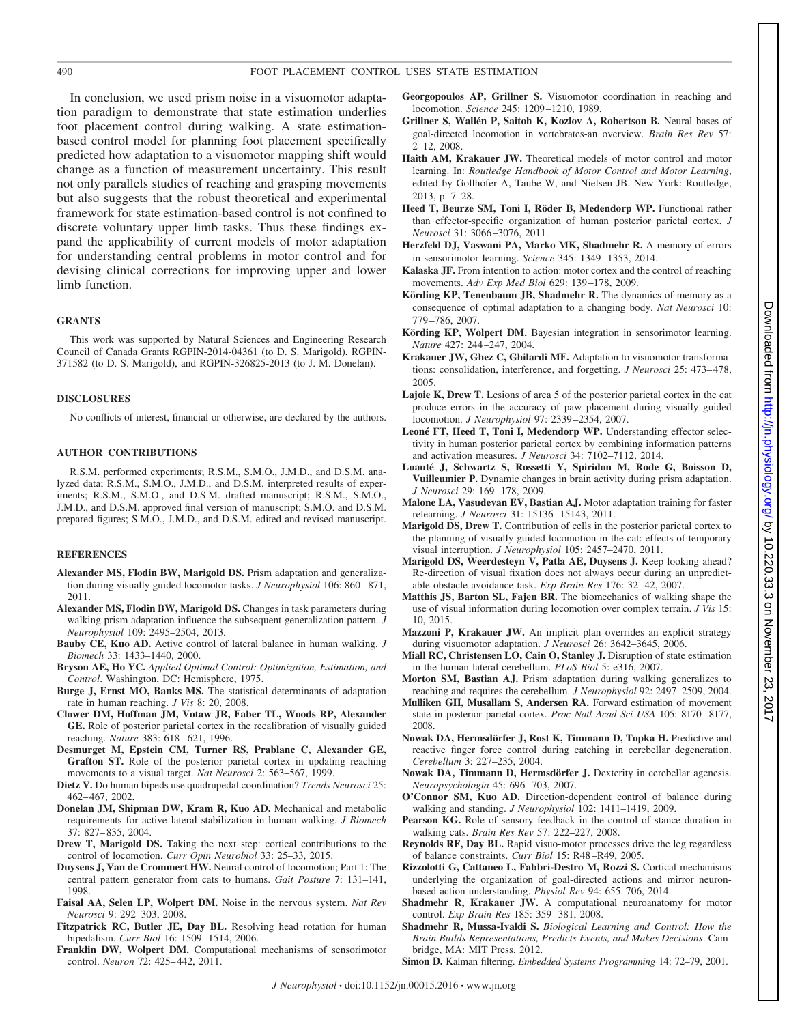In conclusion, we used prism noise in a visuomotor adaptation paradigm to demonstrate that state estimation underlies foot placement control during walking. A state estimationbased control model for planning foot placement specifically predicted how adaptation to a visuomotor mapping shift would change as a function of measurement uncertainty. This result not only parallels studies of reaching and grasping movements but also suggests that the robust theoretical and experimental framework for state estimation-based control is not confined to discrete voluntary upper limb tasks. Thus these findings expand the applicability of current models of motor adaptation for understanding central problems in motor control and for devising clinical corrections for improving upper and lower limb function.

# **GRANTS**

This work was supported by Natural Sciences and Engineering Research Council of Canada Grants RGPIN-2014-04361 (to D. S. Marigold), RGPIN-371582 (to D. S. Marigold), and RGPIN-326825-2013 (to J. M. Donelan).

## **DISCLOSURES**

No conflicts of interest, financial or otherwise, are declared by the authors.

## **AUTHOR CONTRIBUTIONS**

R.S.M. performed experiments; R.S.M., S.M.O., J.M.D., and D.S.M. analyzed data; R.S.M., S.M.O., J.M.D., and D.S.M. interpreted results of experiments; R.S.M., S.M.O., and D.S.M. drafted manuscript; R.S.M., S.M.O., J.M.D., and D.S.M. approved final version of manuscript; S.M.O. and D.S.M. prepared figures; S.M.O., J.M.D., and D.S.M. edited and revised manuscript.

#### **REFERENCES**

- **Alexander MS, Flodin BW, Marigold DS.** Prism adaptation and generalization during visually guided locomotor tasks. *J Neurophysiol* 106: 860–871, 2011.
- **Alexander MS, Flodin BW, Marigold DS.** Changes in task parameters during walking prism adaptation influence the subsequent generalization pattern. *J Neurophysiol* 109: 2495–2504, 2013.
- **Bauby CE, Kuo AD.** Active control of lateral balance in human walking. *J Biomech* 33: 1433–1440, 2000.
- **Bryson AE, Ho YC.** *Applied Optimal Control: Optimization, Estimation, and Control*. Washington, DC: Hemisphere, 1975.
- **Burge J, Ernst MO, Banks MS.** The statistical determinants of adaptation rate in human reaching. *J Vis* 8: 20, 2008.
- **Clower DM, Hoffman JM, Votaw JR, Faber TL, Woods RP, Alexander GE.** Role of posterior parietal cortex in the recalibration of visually guided reaching. *Nature* 383: 618 – 621, 1996.
- **Desmurget M, Epstein CM, Turner RS, Prablanc C, Alexander GE, Grafton ST.** Role of the posterior parietal cortex in updating reaching movements to a visual target. *Nat Neurosci* 2: 563–567, 1999.
- **Dietz V.** Do human bipeds use quadrupedal coordination? *Trends Neurosci* 25: 462– 467, 2002.
- **Donelan JM, Shipman DW, Kram R, Kuo AD.** Mechanical and metabolic requirements for active lateral stabilization in human walking. *J Biomech* 37: 827– 835, 2004.
- **Drew T, Marigold DS.** Taking the next step: cortical contributions to the control of locomotion. *Curr Opin Neurobiol* 33: 25–33, 2015.
- **Duysens J, Van de Crommert HW.** Neural control of locomotion; Part 1: The central pattern generator from cats to humans. *Gait Posture* 7: 131–141, 1998.
- **Faisal AA, Selen LP, Wolpert DM.** Noise in the nervous system. *Nat Rev Neurosci* 9: 292–303, 2008.
- **Fitzpatrick RC, Butler JE, Day BL.** Resolving head rotation for human bipedalism. *Curr Biol* 16: 1509 –1514, 2006.
- **Franklin DW, Wolpert DM.** Computational mechanisms of sensorimotor control. *Neuron* 72: 425– 442, 2011.
- **Georgopoulos AP, Grillner S.** Visuomotor coordination in reaching and locomotion. *Science* 245: 1209 –1210, 1989.
- **Grillner S, Wallén P, Saitoh K, Kozlov A, Robertson B.** Neural bases of goal-directed locomotion in vertebrates-an overview. *Brain Res Rev* 57: 2–12, 2008.
- **Haith AM, Krakauer JW.** Theoretical models of motor control and motor learning. In: *Routledge Handbook of Motor Control and Motor Learning*, edited by Gollhofer A, Taube W, and Nielsen JB. New York: Routledge, 2013, p. 7–28.
- **Heed T, Beurze SM, Toni I, Röder B, Medendorp WP.** Functional rather than effector-specific organization of human posterior parietal cortex. *J Neurosci* 31: 3066 –3076, 2011.
- **Herzfeld DJ, Vaswani PA, Marko MK, Shadmehr R.** A memory of errors in sensorimotor learning. *Science* 345: 1349 –1353, 2014.
- **Kalaska JF.** From intention to action: motor cortex and the control of reaching movements. *Adv Exp Med Biol* 629: 139 –178, 2009.
- **Körding KP, Tenenbaum JB, Shadmehr R.** The dynamics of memory as a consequence of optimal adaptation to a changing body. *Nat Neurosci* 10: 779 –786, 2007.
- **Körding KP, Wolpert DM.** Bayesian integration in sensorimotor learning. *Nature* 427: 244 –247, 2004.
- **Krakauer JW, Ghez C, Ghilardi MF.** Adaptation to visuomotor transformations: consolidation, interference, and forgetting. *J Neurosci* 25: 473– 478, 2005.
- **Lajoie K, Drew T.** Lesions of area 5 of the posterior parietal cortex in the cat produce errors in the accuracy of paw placement during visually guided locomotion. *J Neurophysiol* 97: 2339 –2354, 2007.
- **Leoné FT, Heed T, Toni I, Medendorp WP.** Understanding effector selectivity in human posterior parietal cortex by combining information patterns and activation measures. *J Neurosci* 34: 7102–7112, 2014.
- **Luauté J, Schwartz S, Rossetti Y, Spiridon M, Rode G, Boisson D, Vuilleumier P.** Dynamic changes in brain activity during prism adaptation. *J Neurosci* 29: 169 –178, 2009.
- **Malone LA, Vasudevan EV, Bastian AJ.** Motor adaptation training for faster relearning. *J Neurosci* 31: 15136 –15143, 2011.
- **Marigold DS, Drew T.** Contribution of cells in the posterior parietal cortex to the planning of visually guided locomotion in the cat: effects of temporary visual interruption. *J Neurophysiol* 105: 2457–2470, 2011.
- **Marigold DS, Weerdesteyn V, Patla AE, Duysens J.** Keep looking ahead? Re-direction of visual fixation does not always occur during an unpredictable obstacle avoidance task. *Exp Brain Res* 176: 32– 42, 2007.
- **Matthis JS, Barton SL, Fajen BR.** The biomechanics of walking shape the use of visual information during locomotion over complex terrain. *J Vis* 15: 10, 2015.
- **Mazzoni P, Krakauer JW.** An implicit plan overrides an explicit strategy during visuomotor adaptation. *J Neurosci* 26: 3642–3645, 2006.
- **Miall RC, Christensen LO, Cain O, Stanley J.** Disruption of state estimation in the human lateral cerebellum. *PLoS Biol* 5: e316, 2007.
- **Morton SM, Bastian AJ.** Prism adaptation during walking generalizes to reaching and requires the cerebellum. *J Neurophysiol* 92: 2497–2509, 2004.
- **Mulliken GH, Musallam S, Andersen RA.** Forward estimation of movement state in posterior parietal cortex. *Proc Natl Acad Sci USA* 105: 8170 – 8177, 2008.
- **Nowak DA, Hermsdörfer J, Rost K, Timmann D, Topka H.** Predictive and reactive finger force control during catching in cerebellar degeneration. *Cerebellum* 3: 227–235, 2004.
- **Nowak DA, Timmann D, Hermsdörfer J.** Dexterity in cerebellar agenesis. *Neuropsychologia* 45: 696 –703, 2007.
- **O'Connor SM, Kuo AD.** Direction-dependent control of balance during walking and standing. *J Neurophysiol* 102: 1411–1419, 2009.
- **Pearson KG.** Role of sensory feedback in the control of stance duration in walking cats. *Brain Res Rev* 57: 222–227, 2008.
- **Reynolds RF, Day BL.** Rapid visuo-motor processes drive the leg regardless of balance constraints. *Curr Biol* 15: R48 –R49, 2005.
- **Rizzolotti G, Cattaneo L, Fabbri-Destro M, Rozzi S.** Cortical mechanisms underlying the organization of goal-directed actions and mirror neuronbased action understanding. *Physiol Rev* 94: 655–706, 2014.
- **Shadmehr R, Krakauer JW.** A computational neuroanatomy for motor control. *Exp Brain Res* 185: 359 –381, 2008.
- **Shadmehr R, Mussa-Ivaldi S.** *Biological Learning and Control: How the Brain Builds Representations, Predicts Events, and Makes Decisions*. Cambridge, MA: MIT Press, 2012.
- **Simon D.** Kalman filtering. *Embedded Systems Programming* 14: 72–79, 2001.